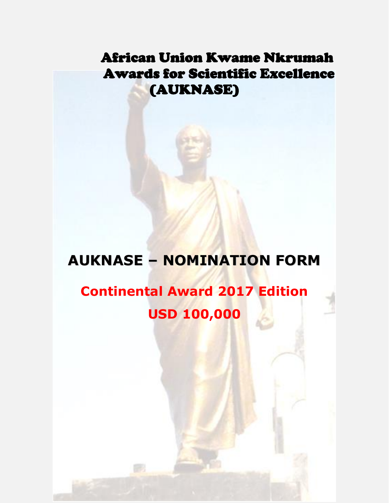## African Union Kwame Nkrumah Awards for Scientific Excellence (AUKNASE)

# **AUKNASE – NOMINATION FORM**

# **Continental Award 2017 Edition USD 100,000**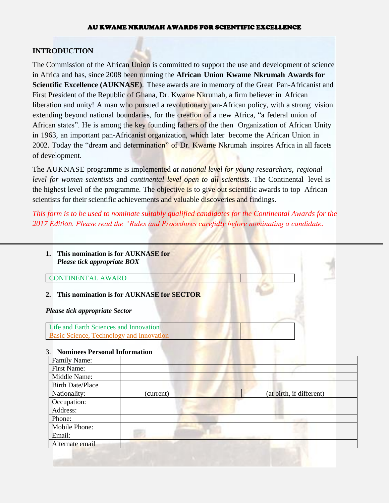## **INTRODUCTION**

The Commission of the African Union is committed to support the use and development of science in Africa and has, since 2008 been running the **African Union Kwame Nkrumah Awards for Scientific Excellence (AUKNASE)**. These awards are in memory of the Great Pan-Africanist and First President of the Republic of Ghana, Dr. Kwame Nkrumah, a firm believer in African liberation and unity! A man who pursued a revolutionary pan-African policy, with a strong vision extending beyond national boundaries, for the creation of a new Africa, "a federal union of African states". He is among the key founding fathers of the then Organization of African Unity in 1963, an important pan-Africanist organization, which later become the African Union in 2002. Today the "dream and determination" of Dr. Kwame Nkrumah inspires Africa in all facets of development.

The AUKNASE programme is implemented *at national level for young researchers*, *regional level for women scientists* and *continental level open to all scientists*. The Continental level is the highest level of the programme. The objective is to give out scientific awards to top African scientists for their scientific achievements and valuable discoveries and findings.

*This form is to be used to nominate suitably qualified candidates for the Continental Awards for the 2017 Edition. Please read the "Rules and Procedures carefully before nominating a candidate.*

| This nomination is for AUKNASE for<br>Please tick appropriate BOX |  |
|-------------------------------------------------------------------|--|
| <b>CONTINENTAL AWARD</b>                                          |  |
| This nomination is for AUKNASE for SECTOR                         |  |
| <b>Please tick appropriate Sector</b>                             |  |
| Life and Earth Sciences and Innovation                            |  |
| Basic Science, Technology and Innovation                          |  |

#### 3. **Nominees Personal Information**

| Family Name:            |           |                          |
|-------------------------|-----------|--------------------------|
| <b>First Name:</b>      |           |                          |
| Middle Name:            |           |                          |
| <b>Birth Date/Place</b> |           |                          |
| Nationality:            | (current) | (at birth, if different) |
| Occupation:             |           |                          |
| Address:                |           |                          |
| Phone:                  |           |                          |
| Mobile Phone:           |           |                          |
| Email:                  |           |                          |
| Alternate email         |           |                          |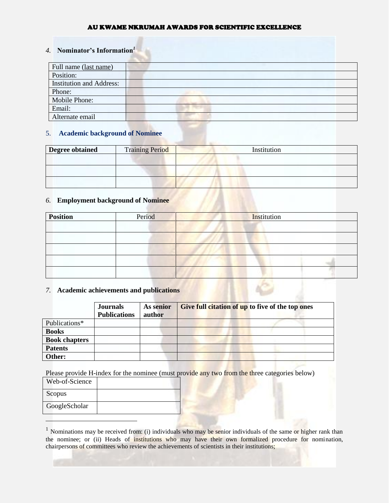## *4.* **Nominator's Information***<sup>1</sup>*

| Full name (last name)           |  |
|---------------------------------|--|
| Position:                       |  |
| <b>Institution and Address:</b> |  |
| Phone:                          |  |
| Mobile Phone:                   |  |
| Email:                          |  |
| Alternate email                 |  |

#### 5. **Academic background of Nominee**

| Degree obtained | <b>Training Period</b> | Institution |
|-----------------|------------------------|-------------|
|                 |                        |             |
|                 |                        |             |
|                 |                        |             |

#### *6.* **Employment background of Nominee**

| <b>Position</b> | Period | Institution |
|-----------------|--------|-------------|
|                 |        |             |
|                 |        |             |
|                 |        |             |
|                 |        |             |
|                 |        |             |

#### *7.* **Academic achievements and publications**

|                      | <b>Journals</b><br><b>Publications</b> | As senior<br>author | Give full citation of up to five of the top ones |
|----------------------|----------------------------------------|---------------------|--------------------------------------------------|
| Publications*        |                                        |                     |                                                  |
| <b>Books</b>         |                                        |                     |                                                  |
| <b>Book chapters</b> |                                        |                     |                                                  |
| <b>Patents</b>       |                                        |                     |                                                  |
| Other:               |                                        |                     |                                                  |

Please provide H-index for the nominee (must provide any two from the three categories below)

| Web-of-Science |  |
|----------------|--|
| Scopus         |  |
| GoogleScholar  |  |

 $\overline{a}$ 

<sup>&</sup>lt;sup>1</sup> Nominations may be received from: (i) individuals who may be senior individuals of the same or higher rank than the nominee; or (ii) Heads of institutions who may have their own formalized procedure for nomination, chairpersons of committees who review the achievements of scientists in their institutions;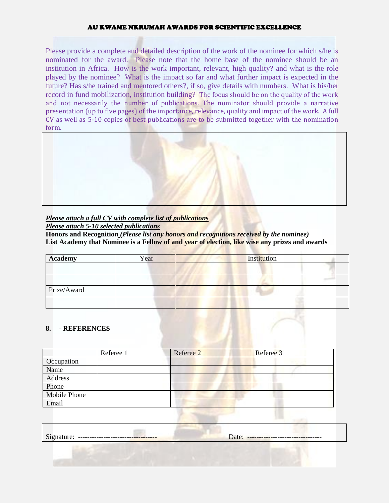Please provide a complete and detailed description of the work of the nominee for which s/he is nominated for the award. Please note that the home base of the nominee should be an institution in Africa. How is the work important, relevant, high quality? and what is the role played by the nominee? What is the impact so far and what further impact is expected in the future? Has s/he trained and mentored others?, if so, give details with numbers. What is his/her record in fund mobilization, institution building? The focus should be on the quality of the work and not necessarily the number of publications. The nominator should provide a narrative presentation (up to five pages) of the importance, relevance, quality and impact of the work. A full CV as well as 5-10 copies of best publications are to be submitted together with the nomination form.



#### *Please attach a full CV with complete list of publications Please attach 5-10 selected publications*

**Honors and Recognition** *(Please list any honors and recognitions received by the nominee)* **List Academy that Nominee is a Fellow of and year of election, like wise any prizes and awards**

| <b>Academy</b> | Year | Institution |  |
|----------------|------|-------------|--|
|                |      |             |  |
|                |      |             |  |
| Prize/Award    |      |             |  |
|                |      |             |  |

#### **8. - REFERENCES**

|              | Referee 1 | Referee 2 | Referee 3 |  |
|--------------|-----------|-----------|-----------|--|
| Occupation   |           |           |           |  |
| Name         |           |           |           |  |
| Address      |           |           |           |  |
| Phone        |           |           |           |  |
| Mobile Phone |           |           |           |  |
| Email        |           |           |           |  |

| $\sim$<br>----------------------------------- | ---------------------------------<br>zacc. |
|-----------------------------------------------|--------------------------------------------|
|                                               |                                            |